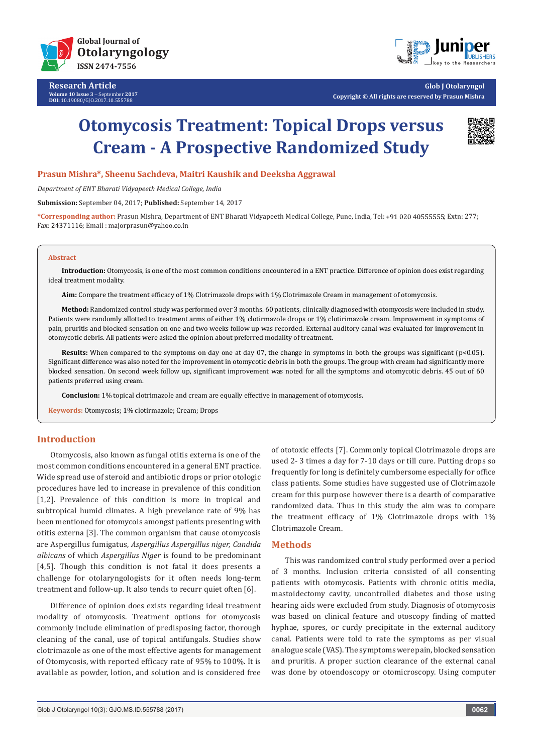

**Research Article Volume 10 Issue 3** - September **2017 DOI:** [10.19080/GJO.2017.10.555788](http://dx.doi.org/10.19080/GJO.2017.10.555788)



**Glob J Otolaryngol Copyright © All rights are reserved by Prasun Mishra**

# **Otomycosis Treatment: Topical Drops versus Cream - A Prospective Randomized Study**



## **Prasun Mishra\*, Sheenu Sachdeva, Maitri Kaushik and Deeksha Aggrawal**

*Department of ENT Bharati Vidyapeeth Medical College, India* 

**Submission:** September 04, 2017; **Published:** September 14, 2017

\*Corresponding author: Prasun Mishra, Department of ENT Bharati Vidyapeeth Medical College, Pune, India, Tel: +91 020 40555555; Extn: 277; Fax: 24371116; Email : majorprasun@yahoo.co.in

#### **Abstract**

**Introduction:** Otomycosis, is one of the most common conditions encountered in a ENT practice. Difference of opinion does exist regarding ideal treatment modality.

**Aim:** Compare the treatment efficacy of 1% Clotrimazole drops with 1% Clotrimazole Cream in management of otomycosis.

**Method:** Randomized control study was performed over 3 months. 60 patients, clinically diagnosed with otomycosis were included in study. Patients were randomly allotted to treatment arms of either 1% clotirmazole drops or 1% clotirimazole cream. Improvement in symptoms of pain, pruritis and blocked sensation on one and two weeks follow up was recorded. External auditory canal was evaluated for improvement in otomycotic debris. All patients were asked the opinion about preferred modality of treatment.

**Results:** When compared to the symptoms on day one at day 07, the change in symptoms in both the groups was significant (p<0.05). Significant difference was also noted for the improvement in otomycotic debris in both the groups. The group with cream had significantly more blocked sensation. On second week follow up, significant improvement was noted for all the symptoms and otomycotic debris. 45 out of 60 patients preferred using cream.

**Conclusion:** 1% topical clotrimazole and cream are equally effective in management of otomycosis.

**Keywords:** Otomycosis; 1% clotirmazole; Cream; Drops

## **Introduction**

Otomycosis, also known as fungal otitis externa is one of the most common conditions encountered in a general ENT practice. Wide spread use of steroid and antibiotic drops or prior otologic procedures have led to increase in prevalence of this condition [1,2]. Prevalence of this condition is more in tropical and subtropical humid climates. A high prevelance rate of 9% has been mentioned for otomycois amongst patients presenting with otitis externa [3]. The common organism that cause otomycosis are Aspergillus fumigatus, *Aspergillus Aspergillus niger, Candida albicans* of which *Aspergillus Niger* is found to be predominant [4,5]. Though this condition is not fatal it does presents a challenge for otolaryngologists for it often needs long-term treatment and follow-up. It also tends to recurr quiet often [6].

Difference of opinion does exists regarding ideal treatment modality of otomycosis. Treatment options for otomycosis commonly include elimination of predisposing factor, thorough cleaning of the canal, use of topical antifungals. Studies show clotrimazole as one of the most effective agents for management of Otomycosis, with reported efficacy rate of 95% to 100%. It is available as powder, lotion, and solution and is considered free of ototoxic effects [7]. Commonly topical Clotrimazole drops are used 2- 3 times a day for 7-10 days or till cure. Putting drops so frequently for long is definitely cumbersome especially for office class patients. Some studies have suggested use of Clotrimazole cream for this purpose however there is a dearth of comparative randomized data. Thus in this study the aim was to compare the treatment efficacy of 1% Clotrimazole drops with 1% Clotrimazole Cream.

## **Methods**

This was randomized control study performed over a period of 3 months. Inclusion criteria consisted of all consenting patients with otomycosis. Patients with chronic otitis media, mastoidectomy cavity, uncontrolled diabetes and those using hearing aids were excluded from study. Diagnosis of otomycosis was based on clinical feature and otoscopy finding of matted hyphae, spores, or curdy precipitate in the external auditory canal. Patients were told to rate the symptoms as per visual analogue scale (VAS). The symptoms were pain, blocked sensation and pruritis. A proper suction clearance of the external canal was done by otoendoscopy or otomicroscopy. Using computer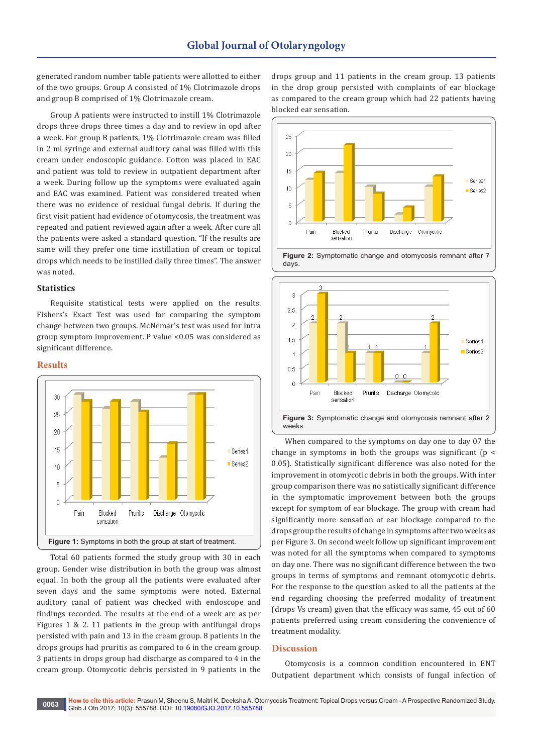generated random number table patients were allotted to either of the two groups. Group A consisted of 1% Clotrimazole drops and group B comprised of 1% Clotrimazole cream.

Group A patients were instructed to instill 1% Clotrimazole drops three drops three times a day and to review in opd after a week. For group B patients, 1% Clotrimazole cream was filled in 2 ml syringe and external auditory canal was filled with this cream under endoscopic guidance. Cotton was placed in EAC and patient was told to review in outpatient department after a week. During follow up the symptoms were evaluated again and EAC was examined. Patient was considered treated when there was no evidence of residual fungal debris. If during the first visit patient had evidence of otomycosis, the treatment was repeated and patient reviewed again after a week. After cure all the patients were asked a standard question. "If the results are same will they prefer one time instillation of cream or topical drops which needs to be instilled daily three times". The answer was noted.

## **Statistics**

Requisite statistical tests were applied on the results. Fishers's Exact Test was used for comparing the symptom change between two groups. McNemar's test was used for Intra group symptom improvement. P value <0.05 was considered as significant difference.

#### **Results**



Total 60 patients formed the study group with 30 in each group. Gender wise distribution in both the group was almost equal. In both the group all the patients were evaluated after seven days and the same symptoms were noted. External auditory canal of patient was checked with endoscope and findings recorded. The results at the end of a week are as per Figures 1 & 2. 11 patients in the group with antifungal drops persisted with pain and 13 in the cream group. 8 patients in the drops groups had pruritis as compared to 6 in the cream group. 3 patients in drops group had discharge as compared to 4 in the cream group. Otomycotic debris persisted in 9 patients in the

drops group and 11 patients in the cream group. 13 patients in the drop group persisted with complaints of ear blockage as compared to the cream group which had 22 patients having blocked ear sensation.







When compared to the symptoms on day one to day 07 the change in symptoms in both the groups was significant ( $p \le$ 0.05). Statistically significant difference was also noted for the improvement in otomycotic debris in both the groups. With inter group comparison there was no satistically significant difference in the symptomatic improvement between both the groups except for symptom of ear blockage. The group with cream had significantly more sensation of ear blockage compared to the drops group the results of change in symptoms after two weeks as per Figure 3. On second week follow up significant improvement was noted for all the symptoms when compared to symptoms on day one. There was no significant difference between the two groups in terms of symptoms and remnant otomycotic debris. For the response to the question asked to all the patients at the end regarding choosing the preferred modality of treatment (drops Vs cream) given that the efficacy was same, 45 out of 60 patients preferred using cream considering the convenience of treatment modality.

## **Discussion**

Otomycosis is a common condition encountered in ENT Outpatient department which consists of fungal infection of